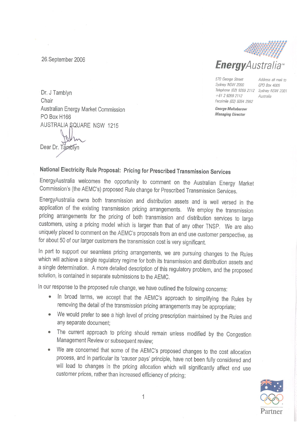26. September 2006



570 George Street Sydney NSW 2000 Telephone (02) 9269 2112 Sydney NSW 2001 +61 2 9269 2112 Facsimile (02) 9264 2982

Address all mail to GPO Box 4009 Australia

George Maltabarow **Managing Director** 

Dr. J Tamblyn Chair Australian Energy Market Commission PO Box H166 AUSTRALIA SQUARE NSW 1215

Dear Dr. Tamblyn

# National Electricity Rule Proposal: Pricing for Prescribed Transmission Services

EnergyAustralia welcomes the opportunity to comment on the Australian Energy Market Commission's (the AEMC's) proposed Rule change for Prescribed Transmission Services.

EnergyAustralia owns both transmission and distribution assets and is well versed in the application of the existing transmission pricing arrangements. We employ the transmission pricing arrangements for the pricing of both transmission and distribution services to large customers, using a pricing model which is larger than that of any other TNSP. We are also uniquely placed to comment on the AEMC's proposals from an end use customer perspective, as for about 50 of our larger customers the transmission cost is very significant.

In part to support our seamless pricing arrangements, we are pursuing changes to the Rules which will achieve a single regulatory regime for both its transmission and distribution assets and a single determination. A more detailed description of this regulatory problem, and the proposed solution, is contained in separate submissions to the AEMC.

In our response to the proposed rule change, we have outlined the following concerns:

- In broad terms, we accept that the AEMC's approach to simplifying the Rules by removing the detail of the transmission pricing arrangements may be appropriate;
- We would prefer to see a high level of pricing prescription maintained by the Rules and any separate document:
- The current approach to pricing should remain unless modified by the Congestion Management Review or subsequent review;
- We are concerned that some of the AEMC's proposed changes to the cost allocation process, and in particular its 'causer pays' principle, have not been fully considered and will lead to changes in the pricing allocation which will significantly affect end use customer prices, rather than increased efficiency of pricing;

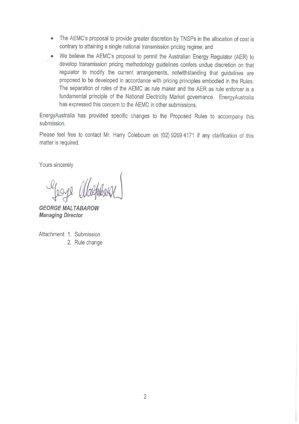- The AEMC's proposal to provide greater discretion by TNSPs in the allocation of cost is  $\bullet$ contrary to attaining a single national transmission pricing regime; and
- We believe the AEMC's proposal to permit the Australian Energy Regulator (AER) to develop transmission pricing methodology guidelines confers undue discretion on that regulator to modify the current arrangements, notwithstanding that guidelines are proposed to be developed in accordance with pricing principles embodied in the Rules. The separation of roles of the AEMC as rule maker and the AER as rule enforcer is a fundamental principle of the National Electricity Market governance. EnergyAustralia has expressed this concern to the AEMC in other submissions.

EnergyAustralia has provided specific changes to the Proposed Rules to accompany this submission.

Please feel free to contact Mr. Harry Colebourn on (02) 9269 4171 if any clarification of this matter is required.

Yours sincerely

Yeage alsopheral

**GEORGE MALTABAROW Managing Director** 

Attachment: 1. Submission 2. Rule change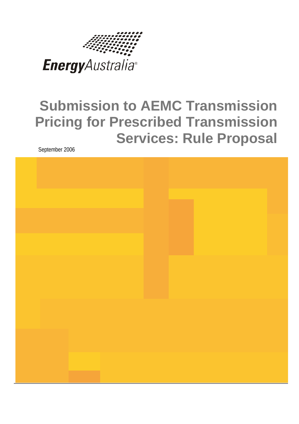

# **Submission to AEMC Transmission Pricing for Prescribed Transmission Services: Rule Proposal**

September 2006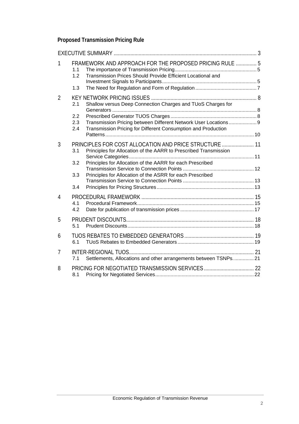# **Proposed Transmission Pricing Rule**

| 1 | 1.1<br>1.2 | FRAMEWORK AND APPROACH FOR THE PROPOSED PRICING RULE  5<br>Transmission Prices Should Provide Efficient Locational and     |  |
|---|------------|----------------------------------------------------------------------------------------------------------------------------|--|
|   | 1.3        |                                                                                                                            |  |
| 2 | 2.1        | Shallow versus Deep Connection Charges and TUoS Charges for                                                                |  |
|   | 2.2        |                                                                                                                            |  |
|   | 2.3        | Transmission Pricing between Different Network User Locations 9                                                            |  |
|   | 2.4        | Transmission Pricing for Different Consumption and Production                                                              |  |
| 3 | 3.1        | PRINCIPLES FOR COST ALLOCATION AND PRICE STRUCTURE  11<br>Principles for Allocation of the AARR to Prescribed Transmission |  |
|   | 3.2        | Principles for Allocation of the AARR for each Prescribed                                                                  |  |
|   | 3.3        | Principles for Allocation of the ASRR for each Prescribed                                                                  |  |
|   | 3.4        |                                                                                                                            |  |
| 4 |            |                                                                                                                            |  |
|   | 4.1<br>4.2 |                                                                                                                            |  |
| 5 | 5.1        |                                                                                                                            |  |
| 6 | 6.1        |                                                                                                                            |  |
| 7 | 7.1        | Settlements, Allocations and other arrangements between TSNPs 21                                                           |  |
| 8 | 8.1        |                                                                                                                            |  |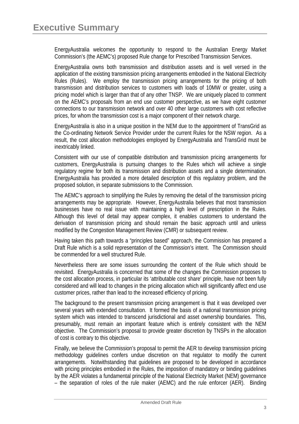EnergyAustralia welcomes the opportunity to respond to the Australian Energy Market Commission's (the AEMC's) proposed Rule change for Prescribed Transmission Services.

EnergyAustralia owns both transmission and distribution assets and is well versed in the application of the existing transmission pricing arrangements embodied in the National Electricity Rules (Rules). We employ the transmission pricing arrangements for the pricing of both transmission and distribution services to customers with loads of 10MW or greater, using a pricing model which is larger than that of any other TNSP. We are uniquely placed to comment on the AEMC's proposals from an end use customer perspective, as we have eight customer connections to our transmission network and over 40 other large customers with cost reflective prices, for whom the transmission cost is a major component of their network charge.

EnergyAustralia is also in a unique position in the NEM due to the appointment of TransGrid as the Co-ordinating Network Service Provider under the current Rules for the NSW region. As a result, the cost allocation methodologies employed by EnergyAustralia and TransGrid must be inextricably linked.

Consistent with our use of compatible distribution and transmission pricing arrangements for customers, EnergyAustralia is pursuing changes to the Rules which will achieve a single regulatory regime for both its transmission and distribution assets and a single determination. EnergyAustralia has provided a more detailed description of this regulatory problem, and the proposed solution, in separate submissions to the Commission.

The AEMC's approach to simplifying the Rules by removing the detail of the transmission pricing arrangements may be appropriate. However, EnergyAustralia believes that most transmission businesses have no real issue with maintaining a high level of prescription in the Rules. Although this level of detail may appear complex, it enables customers to understand the derivation of transmission pricing and should remain the basic approach until and unless modified by the Congestion Management Review (CMR) or subsequent review.

Having taken this path towards a "principles based" approach, the Commission has prepared a Draft Rule which is a solid representation of the Commission's intent. The Commission should be commended for a well structured Rule.

Nevertheless there are some issues surrounding the content of the Rule which should be revisited. EnergyAustralia is concerned that some of the changes the Commission proposes to the cost allocation process, in particular its 'attributable cost share' principle, have not been fully considered and will lead to changes in the pricing allocation which will significantly affect end use customer prices, rather than lead to the increased efficiency of pricing.

The background to the present transmission pricing arrangement is that it was developed over several years with extended consultation. It formed the basis of a national transmission pricing system which was intended to transcend jurisdictional and asset ownership boundaries. This, presumably, must remain an important feature which is entirely consistent with the NEM objective. The Commission's proposal to provide greater discretion by TNSPs in the allocation of cost is contrary to this objective.

Finally, we believe the Commission's proposal to permit the AER to develop transmission pricing methodology guidelines confers undue discretion on that regulator to modify the current arrangements. Notwithstanding that guidelines are proposed to be developed in accordance with pricing principles embodied in the Rules, the imposition of mandatory or binding quidelines by the AER violates a fundamental principle of the National Electricity Market (NEM) governance – the separation of roles of the rule maker (AEMC) and the rule enforcer (AER). Binding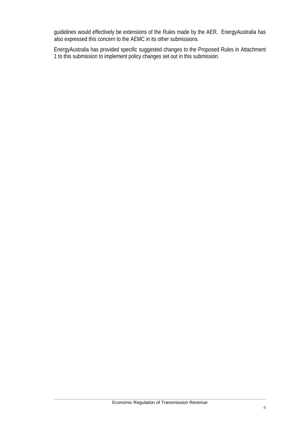guidelines would effectively be extensions of the Rules made by the AER. EnergyAustralia has also expressed this concern to the AEMC in its other submissions.

EnergyAustralia has provided specific suggested changes to the Proposed Rules in Attachment 1 to this submission to implement policy changes set out in this submission.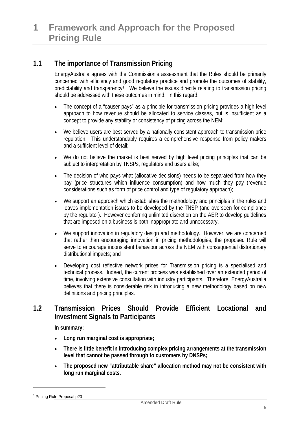## **1.1 The importance of Transmission Pricing**

EnergyAustralia agrees with the Commission's assessment that the Rules should be primarily concerned with efficiency and good regulatory practice and promote the outcomes of stability, predictability and transparency<sup>1</sup>. We believe the issues directly relating to transmission pricing should be addressed with these outcomes in mind. In this regard:

- The concept of a "causer pays" as a principle for transmission pricing provides a high level approach to how revenue should be allocated to service classes, but is insufficient as a concept to provide any stability or consistency of pricing across the NEM;
- We believe users are best served by a nationally consistent approach to transmission price regulation. This understandably requires a comprehensive response from policy makers and a sufficient level of detail;
- We do not believe the market is best served by high level pricing principles that can be subject to interpretation by TNSPs, regulators and users alike;
- The decision of who pays what (allocative decisions) needs to be separated from how they pay (price structures which influence consumption) and how much they pay (revenue considerations such as form of price control and type of regulatory approach);
- We support an approach which establishes the methodology and principles in the rules and leaves implementation issues to be developed by the TNSP (and overseen for compliance by the regulator). However conferring unlimited discretion on the AER to develop guidelines that are imposed on a business is both inappropriate and unnecessary.
- We support innovation in regulatory design and methodology. However, we are concerned that rather than encouraging innovation in pricing methodologies, the proposed Rule will serve to encourage inconsistent behaviour across the NEM with consequential distortionary distributional impacts; and
- Developing cost reflective network prices for Transmission pricing is a specialised and technical process. Indeed, the current process was established over an extended period of time, involving extensive consultation with industry participants. Therefore, EnergyAustralia believes that there is considerable risk in introducing a new methodology based on new definitions and pricing principles.

## **1.2 Transmission Prices Should Provide Efficient Locational and Investment Signals to Participants**

**In summary:** 

- **Long run marginal cost is appropriate;**
- **There is little benefit in introducing complex pricing arrangements at the transmission level that cannot be passed through to customers by DNSPs;**
- **The proposed new "attributable share" allocation method may not be consistent with long run marginal costs.**

l

<sup>&</sup>lt;sup>1</sup> Pricing Rule Proposal p23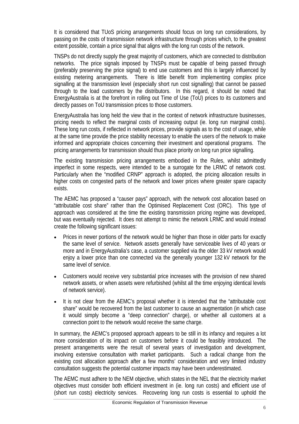It is considered that TUoS pricing arrangements should focus on long run considerations, by passing on the costs of transmission network infrastructure through prices which, to the greatest extent possible, contain a price signal that aligns with the long run costs of the network.

TNSPs do not directly supply the great majority of customers, which are connected to distribution networks. The price signals imposed by TNSPs must be capable of being passed through (preferably preserving the price signal) to end use customers and this is largely influenced by existing metering arrangements. There is little benefit from implementing complex price signalling at the transmission level (especially short run cost signalling) that cannot be passed through to the load customers by the distributors. In this regard, it should be noted that EnergyAustralia is at the forefront in rolling out Time of Use (ToU) prices to its customers and directly passes on ToU transmission prices to those customers.

EnergyAustralia has long held the view that in the context of network infrastructure businesses, pricing needs to reflect the marginal costs of increasing output (ie. long run marginal costs). These long run costs, if reflected in network prices, provide signals as to the cost of usage, while at the same time provide the price stability necessary to enable the users of the network to make informed and appropriate choices concerning their investment and operational programs. The pricing arrangements for transmission should thus place priority on long run price signalling.

The existing transmission pricing arrangements embodied in the Rules, whilst admittedly imperfect in some respects, were intended to be a surrogate for the LRMC of network cost. Particularly when the "modified CRNP" approach is adopted, the pricing allocation results in higher costs on congested parts of the network and lower prices where greater spare capacity exists.

The AEMC has proposed a "causer pays" approach, with the network cost allocation based on "attributable cost share" rather than the Optimised Replacement Cost (ORC). This type of approach was considered at the time the existing transmission pricing regime was developed, but was eventually rejected. It does not attempt to mimic the network LRMC and would instead create the following significant issues:

- Prices in newer portions of the network would be higher than those in older parts for exactly the same level of service. Network assets generally have serviceable lives of 40 years or more and in EnergyAustralia's case, a customer supplied via the older 33 kV network would enjoy a lower price than one connected via the generally younger 132 kV network for the same level of service.
- Customers would receive very substantial price increases with the provision of new shared network assets, or when assets were refurbished (whilst all the time enjoying identical levels of network service).
- It is not clear from the AEMC's proposal whether it is intended that the "attributable cost share" would be recovered from the last customer to cause an augmentation (in which case it would simply become a "deep connection" charge), or whether all customers at a connection point to the network would receive the same charge.

In summary, the AEMC's proposed approach appears to be still in its infancy and requires a lot more consideration of its impact on customers before it could be feasibly introduced. The present arrangements were the result of several years of investigation and development, involving extensive consultation with market participants. Such a radical change from the existing cost allocation approach after a few months' consideration and very limited industry consultation suggests the potential customer impacts may have been underestimated.

The AEMC must adhere to the NEM objective, which states in the NEL that the electricity market objectives must consider both efficient investment in (ie. long run costs) and efficient use of (short run costs) electricity services. Recovering long run costs is essential to uphold the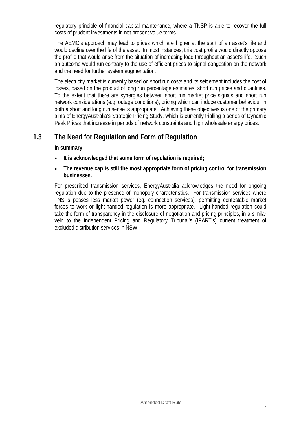regulatory principle of financial capital maintenance, where a TNSP is able to recover the full costs of prudent investments in net present value terms.

The AEMC's approach may lead to prices which are higher at the start of an asset's life and would decline over the life of the asset. In most instances, this cost profile would directly oppose the profile that would arise from the situation of increasing load throughout an asset's life. Such an outcome would run contrary to the use of efficient prices to signal congestion on the network and the need for further system augmentation.

The electricity market is currently based on short run costs and its settlement includes the cost of losses, based on the product of long run percentage estimates, short run prices and quantities. To the extent that there are synergies between short run market price signals and short run network considerations (e.g. outage conditions), pricing which can induce customer behaviour in both a short and long run sense is appropriate. Achieving these objectives is one of the primary aims of EnergyAustralia's Strategic Pricing Study, which is currently trialling a series of Dynamic Peak Prices that increase in periods of network constraints and high wholesale energy prices.

## **1.3 The Need for Regulation and Form of Regulation**

**In summary:** 

- **It is acknowledged that some form of regulation is required;**
- **The revenue cap is still the most appropriate form of pricing control for transmission businesses.**

For prescribed transmission services, EnergyAustralia acknowledges the need for ongoing regulation due to the presence of monopoly characteristics. For transmission services where TNSPs posses less market power (eg. connection services), permitting contestable market forces to work or light-handed regulation is more appropriate. Light-handed regulation could take the form of transparency in the disclosure of negotiation and pricing principles, in a similar vein to the Independent Pricing and Regulatory Tribunal's (IPART's) current treatment of excluded distribution services in NSW.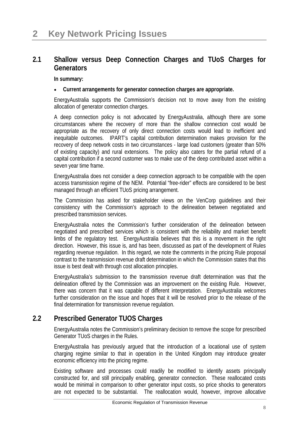## **2.1 Shallow versus Deep Connection Charges and TUoS Charges for Generators**

**In summary:** 

#### • **Current arrangements for generator connection charges are appropriate.**

EnergyAustralia supports the Commission's decision not to move away from the existing allocation of generator connection charges.

A deep connection policy is not advocated by EnergyAustralia, although there are some circumstances where the recovery of more than the shallow connection cost would be appropriate as the recovery of only direct connection costs would lead to inefficient and inequitable outcomes. IPART's capital contribution determination makes provision for the recovery of deep network costs in two circumstances - large load customers (greater than 50% of existing capacity) and rural extensions. The policy also caters for the partial refund of a capital contribution if a second customer was to make use of the deep contributed asset within a seven year time frame.

EnergyAustralia does not consider a deep connection approach to be compatible with the open access transmission regime of the NEM. Potential "free-rider" effects are considered to be best managed through an efficient TUoS pricing arrangement.

The Commission has asked for stakeholder views on the VenCorp guidelines and their consistency with the Commission's approach to the delineation between negotiated and prescribed transmission services.

EnergyAustralia notes the Commission's further consideration of the delineation between negotiated and prescribed services which is consistent with the reliability and market benefit limbs of the regulatory test. EnergyAustralia believes that this is a movement in the right direction. However, this issue is, and has been, discussed as part of the development of Rules regarding revenue regulation. In this regard, we note the comments in the pricing Rule proposal contrast to the transmission revenue draft determination in which the Commission states that this issue is best dealt with through cost allocation principles.

EnergyAustralia's submission to the transmission revenue draft determination was that the delineation offered by the Commission was an improvement on the existing Rule. However, there was concern that it was capable of different interpretation. EnergyAustralia welcomes further consideration on the issue and hopes that it will be resolved prior to the release of the final determination for transmission revenue regulation.

## **2.2 Prescribed Generator TUOS Charges**

EnergyAustralia notes the Commission's preliminary decision to remove the scope for prescribed Generator TUoS charges in the Rules.

EnergyAustralia has previously argued that the introduction of a locational use of system charging regime similar to that in operation in the United Kingdom may introduce greater economic efficiency into the pricing regime.

Existing software and processes could readily be modified to identify assets principally constructed for, and still principally enabling, generator connection. These reallocated costs would be minimal in comparison to other generator input costs, so price shocks to generators are not expected to be substantial. The reallocation would, however, improve allocative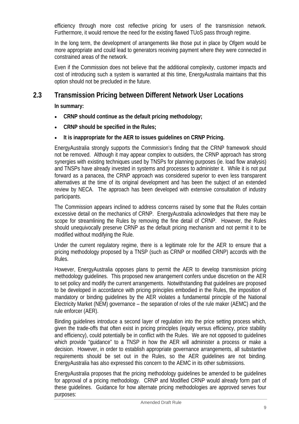efficiency through more cost reflective pricing for users of the transmission network. Furthermore, it would remove the need for the existing flawed TUoS pass through regime.

In the long term, the development of arrangements like those put in place by Ofgem would be more appropriate and could lead to generators receiving payment where they were connected in constrained areas of the network.

Even if the Commission does not believe that the additional complexity, customer impacts and cost of introducing such a system is warranted at this time, EnergyAustralia maintains that this option should not be precluded in the future.

## **2.3 Transmission Pricing between Different Network User Locations**

**In summary:** 

- **CRNP should continue as the default pricing methodology;**
- **CRNP should be specified in the Rules;**
- **It is inappropriate for the AER to issues guidelines on CRNP Pricing.**

EnergyAustralia strongly supports the Commission's finding that the CRNP framework should not be removed. Although it may appear complex to outsiders, the CRNP approach has strong synergies with existing techniques used by TNSPs for planning purposes (ie. load flow analysis) and TNSPs have already invested in systems and processes to administer it. While it is not put forward as a panacea, the CRNP approach was considered superior to even less transparent alternatives at the time of its original development and has been the subject of an extended review by NECA. The approach has been developed with extensive consultation of industry participants.

The Commission appears inclined to address concerns raised by some that the Rules contain excessive detail on the mechanics of CRNP. EnergyAustralia acknowledges that there may be scope for streamlining the Rules by removing the fine detail of CRNP. However, the Rules should unequivocally preserve CRNP as the default pricing mechanism and not permit it to be modified without modifying the Rule.

Under the current regulatory regime, there is a legitimate role for the AER to ensure that a pricing methodology proposed by a TNSP (such as CRNP or modified CRNP) accords with the Rules.

However, EnergyAustralia opposes plans to permit the AER to develop transmission pricing methodology guidelines. This proposed new arrangement confers undue discretion on the AER to set policy and modify the current arrangements. Notwithstanding that guidelines are proposed to be developed in accordance with pricing principles embodied in the Rules, the imposition of mandatory or binding guidelines by the AER violates a fundamental principle of the National Electricity Market (NEM) governance – the separation of roles of the rule maker (AEMC) and the rule enforcer (AER).

Binding guidelines introduce a second layer of regulation into the price setting process which, given the trade-offs that often exist in pricing principles (equity versus efficiency, price stability and efficiency), could potentially be in conflict with the Rules. We are not opposed to guidelines which provide "guidance" to a TNSP in how the AER will administer a process or make a decision. However, in order to establish appropriate governance arrangements, all substantive requirements should be set out in the Rules, so the AER guidelines are not binding. EnergyAustralia has also expressed this concern to the AEMC in its other submissions.

EnergyAustralia proposes that the pricing methodology guidelines be amended to be guidelines for approval of a pricing methodology. CRNP and Modified CRNP would already form part of these guidelines. Guidance for how alternate pricing methodologies are approved serves four purposes: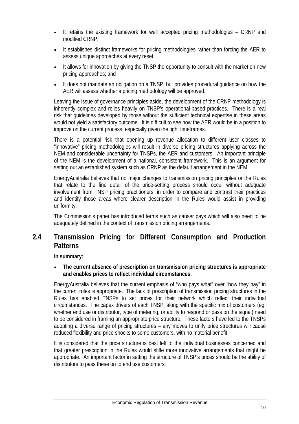- It retains the existing framework for well accepted pricing methodologies CRNP and modified CRNP;
- It establishes distinct frameworks for pricing methodologies rather than forcing the AER to assess unique approaches at every reset;
- It allows for innovation by giving the TNSP the opportunity to consult with the market on new pricing approaches; and
- It does not mandate an obligation on a TNSP, but provides procedural guidance on how the AER will assess whether a pricing methodology will be approved.

Leaving the issue of governance principles aside, the development of the CRNP methodology is inherently complex and relies heavily on TNSP's operational-based practices. There is a real risk that guidelines developed by those without the sufficient technical expertise in these areas would not yield a satisfactory outcome. It is difficult to see how the AER would be in a position to improve on the current process, especially given the tight timeframes.

There is a potential risk that opening up revenue allocation to different user classes to "innovative" pricing methodologies will result in diverse pricing structures applying across the NEM and considerable uncertainty for TNSPs, the AER and customers. An important principle of the NEM is the development of a national, consistent framework. This is an argument for setting out an established system such as CRNP as the default arrangement in the NEM.

EnergyAustralia believes that no major changes to transmission pricing principles or the Rules that relate to the fine detail of the price-setting process should occur without adequate involvement from TNSP pricing practitioners, in order to compare and contrast their practices and identify those areas where clearer description in the Rules would assist in providing uniformity.

The Commission's paper has introduced terms such as causer pays which will also need to be adequately defined in the context of transmission pricing arrangements.

## **2.4 Transmission Pricing for Different Consumption and Production Patterns**

**In summary:** 

• **The current absence of prescription on transmission pricing structures is appropriate and enables prices to reflect individual circumstances.** 

EnergyAustralia believes that the current emphasis of "who pays what" over "how they pay" in the current rules is appropriate. The lack of prescription of transmission pricing structures in the Rules has enabled TNSPs to set prices for their network which reflect their individual circumstances. The capex drivers of each TNSP, along with the specific mix of customers (eg. whether end use or distributor, type of metering, or ability to respond or pass on the signal) need to be considered in framing an appropriate price structure. These factors have led to the TNSPs adopting a diverse range of pricing structures – any moves to unify price structures will cause reduced flexibility and price shocks to some customers, with no material benefit.

It is considered that the price structure is best left to the individual businesses concerned and that greater prescription in the Rules would stifle more innovative arrangements that might be appropriate. An important factor in setting the structure of TNSP's prices should be the ability of distributors to pass these on to end use customers.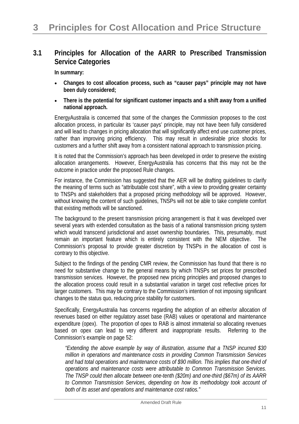## **3.1 Principles for Allocation of the AARR to Prescribed Transmission Service Categories**

**In summary:** 

- **Changes to cost allocation process, such as "causer pays" principle may not have been duly considered;**
- **There is the potential for significant customer impacts and a shift away from a unified national approach.**

EnergyAustralia is concerned that some of the changes the Commission proposes to the cost allocation process, in particular its 'causer pays' principle, may not have been fully considered and will lead to changes in pricing allocation that will significantly affect end use customer prices, rather than improving pricing efficiency. This may result in undesirable price shocks for customers and a further shift away from a consistent national approach to transmission pricing.

It is noted that the Commission's approach has been developed in order to preserve the existing allocation arrangements. However, EnergyAustralia has concerns that this may not be the outcome in practice under the proposed Rule changes.

For instance, the Commission has suggested that the AER will be drafting guidelines to clarify the meaning of terms such as "attributable cost share", with a view to providing greater certainty to TNSPs and stakeholders that a proposed pricing methodology will be approved. However, without knowing the content of such guidelines, TNSPs will not be able to take complete comfort that existing methods will be sanctioned.

The background to the present transmission pricing arrangement is that it was developed over several years with extended consultation as the basis of a national transmission pricing system which would transcend jurisdictional and asset ownership boundaries. This, presumably, must remain an important feature which is entirely consistent with the NEM objective. The Commission's proposal to provide greater discretion by TNSPs in the allocation of cost is contrary to this objective.

Subject to the findings of the pending CMR review, the Commission has found that there is no need for substantive change to the general means by which TNSPs set prices for prescribed transmission services. However, the proposed new pricing principles and proposed changes to the allocation process could result in a substantial variation in target cost reflective prices for larger customers. This may be contrary to the Commission's intention of not imposing significant changes to the status quo, reducing price stability for customers.

Specifically, EnergyAustralia has concerns regarding the adoption of an either/or allocation of revenues based on either regulatory asset base (RAB) values or operational and maintenance expenditure (opex). The proportion of opex to RAB is almost immaterial so allocating revenues based on opex can lead to very different and inappropriate results. Referring to the Commission's example on page 52:

*"Extending the above example by way of illustration, assume that a TNSP incurred \$30 million in operations and maintenance costs in providing Common Transmission Services and had total operations and maintenance costs of \$90 million. This implies that one-third of operations and maintenance costs were attributable to Common Transmission Services. The TNSP could then allocate between one-tenth (\$20m) and one-third (\$67m) of its AARR to Common Transmission Services, depending on how its methodology took account of both of its asset and operations and maintenance cost ratios."*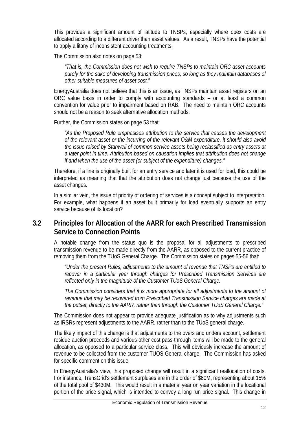This provides a significant amount of latitude to TNSPs, especially where opex costs are allocated according to a different driver than asset values. As a result, TNSPs have the potential to apply a litany of inconsistent accounting treatments.

The Commission also notes on page 53:

*"That is, the Commission does not wish to require TNSPs to maintain ORC asset accounts purely for the sake of developing transmission prices, so long as they maintain databases of other suitable measures of asset cost."*

EnergyAustralia does not believe that this is an issue, as TNSPs maintain asset registers on an ORC value basis in order to comply with accounting standards – or at least a common convention for value prior to impairment based on RAB. The need to maintain ORC accounts should not be a reason to seek alternative allocation methods.

Further, the Commission states on page 53 that:

*"As the Proposed Rule emphasises attribution to the service that causes the development of the relevant asset or the incurring of the relevant O&M expenditure, it should also avoid the issue raised by Stanwell of common service assets being reclassified as entry assets at a later point in time. Attribution based on causation implies that attribution does not change if and when the use of the asset (or subject of the expenditure) changes."* 

Therefore, if a line is originally built for an entry service and later it is used for load, this could be interpreted as meaning that that the attribution does not change just because the use of the asset changes.

In a similar vein, the issue of priority of ordering of services is a concept subject to interpretation. For example, what happens if an asset built primarily for load eventually supports an entry service because of its location?

## **3.2 Principles for Allocation of the AARR for each Prescribed Transmission Service to Connection Points**

A notable change from the status quo is the proposal for all adjustments to prescribed transmission revenue to be made directly from the AARR, as opposed to the current practice of removing them from the TUoS General Charge. The Commission states on pages 55-56 that:

*"Under the present Rules, adjustments to the amount of revenue that TNSPs are entitled to recover in a particular year through charges for Prescribed Transmission Services are reflected only in the magnitude of the Customer TUoS General Charge.* 

*The Commission considers that it is more appropriate for all adjustments to the amount of revenue that may be recovered from Prescribed Transmission Service charges are made at the outset, directly to the AARR, rather than through the Customer TUoS General Charge."* 

The Commission does not appear to provide adequate justification as to why adjustments such as IRSRs represent adjustments to the AARR, rather than to the TUoS general charge.

The likely impact of this change is that adjustments to the overs and unders account, settlement residue auction proceeds and various other cost pass-through items will be made to the general allocation, as opposed to a particular service class. This will obviously increase the amount of revenue to be collected from the customer TUOS General charge. The Commission has asked for specific comment on this issue.

In EnergyAustralia's view, this proposed change will result in a significant reallocation of costs. For instance, TransGrid's settlement surpluses are in the order of \$60M, representing about 15% of the total pool of \$430M. This would result in a material year on year variation in the locational portion of the price signal, which is intended to convey a long run price signal. This change in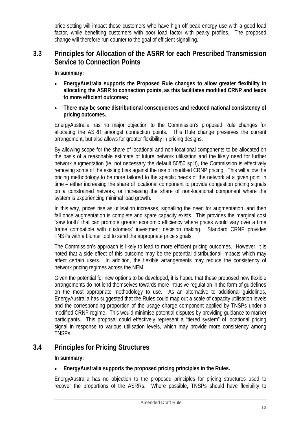price setting will impact those customers who have high off peak energy use with a good load factor, while benefiting customers with poor load factor with peaky profiles. The proposed change will therefore run counter to the goal of efficient signalling.

## **3.3 Principles for Allocation of the ASRR for each Prescribed Transmission Service to Connection Points**

**In summary:** 

- **EnergyAustralia supports the Proposed Rule changes to allow greater flexibility in allocating the ASRR to connection points, as this facilitates modified CRNP and leads to more efficient outcomes;**
- **There may be some distributional consequences and reduced national consistency of pricing outcomes.**

EnergyAustralia has no major objection to the Commission's proposed Rule changes for allocating the ASRR amongst connection points. This Rule change preserves the current arrangement, but also allows for greater flexibility in pricing designs.

By allowing scope for the share of locational and non-locational components to be allocated on the basis of a reasonable estimate of future network utilisation and the likely need for further network augmentation (ie. not necessary the default 50/50 split), the Commission is effectively removing some of the existing bias against the use of modified CRNP pricing. This will allow the pricing methodology to be more tailored to the specific needs of the network at a given point in time – either increasing the share of locational component to provide congestion pricing signals on a constrained network, or increasing the share of non-locational component where the system is experiencing minimal load growth.

In this way, prices rise as utilisation increases, signalling the need for augmentation, and then fall once augmentation is complete and spare capacity exists. This provides the marginal cost "saw tooth" that can promote greater economic efficiency where prices would vary over a time frame compatible with customers' investment decision making. Standard CRNP provides TNSPs with a blunter tool to send the appropriate price signals.

The Commission's approach is likely to lead to more efficient pricing outcomes. However, it is noted that a side effect of this outcome may be the potential distributional impacts which may affect certain users. In addition, the flexible arrangements may reduce the consistency of network pricing regimes across the NEM.

Given the potential for new options to be developed, it is hoped that these proposed new flexible arrangements do not lend themselves towards more intrusive regulation in the form of guidelines on the most appropriate methodology to use. As an alternative to additional guidelines, EnergyAustralia has suggested that the Rules could map out a scale of capacity utilisation levels and the corresponding proportion of the usage charge component applied by TNSPs under a modified CRNP regime. This would minimise potential disputes by providing guidance to market participants. This proposal could effectively represent a "tiered system" of locational pricing signal in response to various utilisation levels, which may provide more consistency among TNSPs.

## **3.4 Principles for Pricing Structures**

**In summary:** 

#### • **EnergyAustralia supports the proposed pricing principles in the Rules.**

EnergyAustralia has no objection to the proposed principles for pricing structures used to recover the proportions of the ASRRs. Where possible, TNSPs should have flexibility to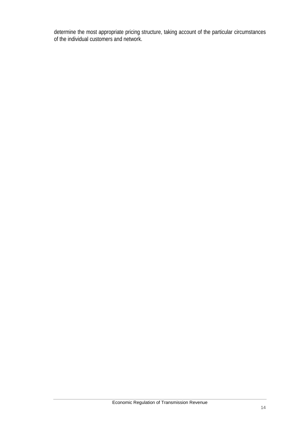determine the most appropriate pricing structure, taking account of the particular circumstances of the individual customers and network.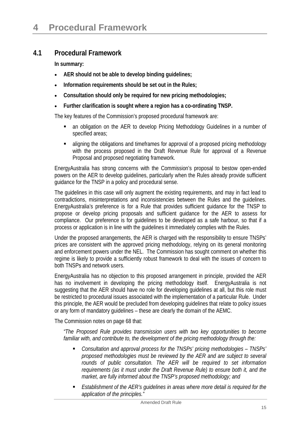## **4.1 Procedural Framework**

**In summary:** 

- **AER should not be able to develop binding guidelines;**
- **Information requirements should be set out in the Rules;**
- **Consultation should only be required for new pricing methodologies;**
- **Further clarification is sought where a region has a co-ordinating TNSP.**

The key features of the Commission's proposed procedural framework are:

- an obligation on the AER to develop Pricing Methodology Guidelines in a number of specified areas;
- aligning the obligations and timeframes for approval of a proposed pricing methodology with the process proposed in the Draft Revenue Rule for approval of a Revenue Proposal and proposed negotiating framework.

EnergyAustralia has strong concerns with the Commission's proposal to bestow open-ended powers on the AER to develop guidelines, particularly when the Rules already provide sufficient guidance for the TNSP in a policy and procedural sense.

The guidelines in this case will only augment the existing requirements, and may in fact lead to contradictions, misinterpretations and inconsistencies between the Rules and the guidelines. EnergyAustralia's preference is for a Rule that provides sufficient guidance for the TNSP to propose or develop pricing proposals and sufficient guidance for the AER to assess for compliance. Our preference is for guidelines to be developed as a safe harbour, so that if a process or application is in line with the guidelines it immediately complies with the Rules.

Under the proposed arrangements, the AER is charged with the responsibility to ensure TNSPs' prices are consistent with the approved pricing methodology, relying on its general monitoring and enforcement powers under the NEL. The Commission has sought comment on whether this regime is likely to provide a sufficiently robust framework to deal with the issues of concern to both TNSPs and network users.

EnergyAustralia has no objection to this proposed arrangement in principle, provided the AER has no involvement in developing the pricing methodology itself. EnergyAustralia is not suggesting that the AER should have no role for developing guidelines at all, but this role must be restricted to procedural issues associated with the implementation of a particular Rule. Under this principle, the AER would be precluded from developing guidelines that relate to policy issues or any form of mandatory guidelines – these are clearly the domain of the AEMC.

The Commission notes on page 68 that:

*"The Proposed Rule provides transmission users with two key opportunities to become familiar with, and contribute to, the development of the pricing methodology through the:* 

- *Consultation and approval process for the TNSPs' pricing methodologies TNSPs' proposed methodologies must be reviewed by the AER and are subject to several rounds of public consultation. The AER will be required to set information requirements (as it must under the Draft Revenue Rule) to ensure both it, and the market, are fully informed about the TNSP's proposed methodology; and*
- *Establishment of the AER's guidelines in areas where more detail is required for the application of the principles."*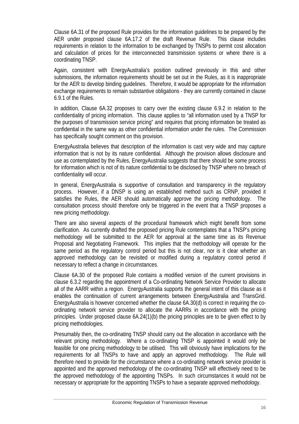Clause 6A.31 of the proposed Rule provides for the information guidelines to be prepared by the AER under proposed clause 6A.17.2 of the draft Revenue Rule. This clause includes requirements in relation to the information to be exchanged by TNSPs to permit cost allocation and calculation of prices for the interconnected transmission systems or where there is a coordinating TNSP.

Again, consistent with EnergyAustralia's position outlined previously in this and other submissions, the information requirements should be set out in the Rules, as it is inappropriate for the AER to develop binding guidelines. Therefore, it would be appropriate for the information exchange requirements to remain substantive obligations - they are currently contained in clause 6.9.1 of the Rules.

In addition, Clause 6A.32 proposes to carry over the existing clause 6.9.2 in relation to the confidentiality of pricing information. This clause applies to "all information used by a TNSP for the purposes of transmission service pricing" and requires that pricing information be treated as confidential in the same way as other confidential information under the rules. The Commission has specifically sought comment on this provision.

EnergyAustralia believes that description of the information is cast very wide and may capture information that is not by its nature confidential. Although the provision allows disclosure and use as contemplated by the Rules, EnergyAustralia suggests that there should be some process for information which is not of its nature confidential to be disclosed by TNSP where no breach of confidentiality will occur.

In general, EnergyAustralia is supportive of consultation and transparency in the regulatory process. However, if a DNSP is using an established method such as CRNP, provided it satisfies the Rules, the AER should automatically approve the pricing methodology. The consultation process should therefore only be triggered in the event that a TNSP proposes a new pricing methodology.

There are also several aspects of the procedural framework which might benefit from some clarification. As currently drafted the proposed pricing Rule contemplates that a TNSP's pricing methodology will be submitted to the AER for approval at the same time as its Revenue Proposal and Negotiating Framework. This implies that the methodology will operate for the same period as the regulatory control period but this is not clear, nor is it clear whether an approved methodology can be revisited or modified during a regulatory control period if necessary to reflect a change in circumstances.

Clause 6A.30 of the proposed Rule contains a modified version of the current provisions in clause 6.3.2 regarding the appointment of a Co-ordinating Network Service Provider to allocate all of the AARR within a region. EnergyAustralia supports the general intent of this clause as it enables the continuation of current arrangements between EnergyAustralia and TransGrid. EnergyAustralia is however concerned whether the clause 6A.30(d) is correct in requiring the coordinating network service provider to allocate the AARRs in accordance with the pricing principles. Under proposed clause 6A.24(1)(b) the pricing principles are to be given effect to by pricing methodologies.

Presumably then, the co-ordinating TNSP should carry out the allocation in accordance with the relevant pricing methodology. Where a co-ordinating TNSP is appointed it would only be feasible for one pricing methodology to be utilised. This will obviously have implications for the requirements for all TNSPs to have and apply an approved methodology. The Rule will therefore need to provide for the circumstance where a co-ordinating network service provider is appointed and the approved methodology of the co-ordinating TNSP will effectively need to be the approved methodology of the appointing TNSPs. In such circumstances it would not be necessary or appropriate for the appointing TNSPs to have a separate approved methodology.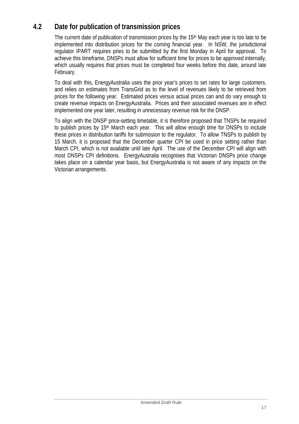## **4.2 Date for publication of transmission prices**

The current date of publication of transmission prices by the 15<sup>th</sup> May each year is too late to be implemented into distribution prices for the coming financial year. In NSW, the jurisdictional regulator IPART requires pries to be submitted by the first Monday in April for approval. To achieve this timeframe, DNSPs must allow for sufficient time for prices to be approved internally, which usually requires that prices must be completed four weeks before this date, around late February.

To deal with this, EnergyAustralia uses the prior year's prices to set rates for large customers, and relies on estimates from TransGrid as to the level of revenues likely to be retrieved from prices for the following year. Estimated prices versus actual prices can and do vary enough to create revenue impacts on EnergyAustralia. Prices and their associated revenues are in effect implemented one year later, resulting in unnecessary revenue risk for the DNSP.

To align with the DNSP price-setting timetable, it is therefore proposed that TNSPs be required to publish prices by 15<sup>th</sup> March each year. This will allow enough time for DNSPs to include these prices in distribution tariffs for submission to the regulator. To allow TNSPs to publish by 15 March, it is proposed that the December quarter CPI be used in price setting rather than March CPI, which is not available until late April. The use of the December CPI will align with most DNSPs CPI definitions. EnergyAustralia recognises that Victorian DNSPs price change takes place on a calendar year basis, but EnergyAustralia is not aware of any impacts on the Victorian arrangements.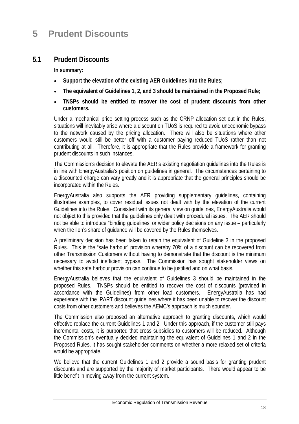## **5.1 Prudent Discounts**

**In summary:** 

- **Support the elevation of the existing AER Guidelines into the Rules;**
- **The equivalent of Guidelines 1, 2, and 3 should be maintained in the Proposed Rule;**
- **TNSPs should be entitled to recover the cost of prudent discounts from other customers.**

Under a mechanical price setting process such as the CRNP allocation set out in the Rules, situations will inevitably arise where a discount on TUoS is required to avoid uneconomic bypass to the network caused by the pricing allocation. There will also be situations where other customers would still be better off with a customer paying reduced TUoS rather than not contributing at all. Therefore, it is appropriate that the Rules provide a framework for granting prudent discounts in such instances.

The Commission's decision to elevate the AER's existing negotiation guidelines into the Rules is in line with EnergyAustralia's position on guidelines in general. The circumstances pertaining to a discounted charge can vary greatly and it is appropriate that the general principles should be incorporated within the Rules.

EnergyAustralia also supports the AER providing supplementary guidelines, containing illustrative examples, to cover residual issues not dealt with by the elevation of the current Guidelines into the Rules. Consistent with its general view on guidelines, EnergyAustralia would not object to this provided that the guidelines only dealt with procedural issues. The AER should not be able to introduce "binding guidelines' or wider policy decisions on any issue – particularly when the lion's share of guidance will be covered by the Rules themselves.

A preliminary decision has been taken to retain the equivalent of Guideline 3 in the proposed Rules. This is the "safe harbour" provision whereby 70% of a discount can be recovered from other Transmission Customers without having to demonstrate that the discount is the minimum necessary to avoid inefficient bypass. The Commission has sought stakeholder views on whether this safe harbour provision can continue to be justified and on what basis.

EnergyAustralia believes that the equivalent of Guidelines 3 should be maintained in the proposed Rules. TNSPs should be entitled to recover the cost of discounts (provided in accordance with the Guidelines) from other load customers. EnergyAustralia has had experience with the IPART discount guidelines where it has been unable to recover the discount costs from other customers and believes the AEMC's approach is much sounder.

The Commission also proposed an alternative approach to granting discounts, which would effective replace the current Guidelines 1 and 2. Under this approach, if the customer still pays incremental costs, it is purported that cross subsidies to customers will be reduced. Although the Commission's eventually decided maintaining the equivalent of Guidelines 1 and 2 in the Proposed Rules, it has sought stakeholder comments on whether a more relaxed set of criteria would be appropriate.

We believe that the current Guidelines 1 and 2 provide a sound basis for granting prudent discounts and are supported by the majority of market participants. There would appear to be little benefit in moving away from the current system.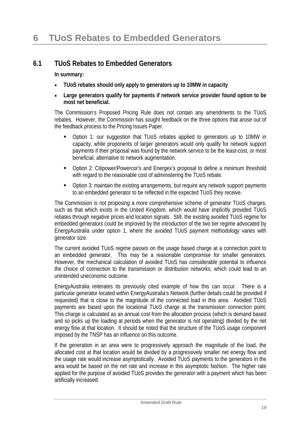## **6.1 TUoS Rebates to Embedded Generators**

**In summary:** 

- **TUoS rebates should only apply to generators up to 10MW in capacity**
- **Large generators qualify for payments if network service provider found option to be most net beneficial.**

The Commission's Proposed Pricing Rule does not contain any amendments to the TUoS rebates. However, the Commission has sought feedback on the three options that arose out of the feedback process to the Pricing Issues Paper.

- Option 1: our suggestion that TUoS rebates applied to generators up to 10MW in capacity, while proponents of larger generators would only qualify for network support payments if their proposal was found by the network service to be the least-cost, or most beneficial, alternative to network augmentation.
- Option 2: Citipower/Powercor's and Energex's proposal to define a minimum threshold with regard to the reasonable cost of administering the TUoS rebate.
- Option 3: maintain the existing arrangements, but require any network support payments to an embedded generator to be reflected in the expected TUoS they receive.

The Commission is not proposing a more comprehensive scheme of generator TUoS charges, such as that which exists in the United Kingdom, which would have implicitly provided TUoS rebates through negative prices and location signals. Still, the existing avoided TUoS regime for embedded generators could be improved by the introduction of the two tier regime advocated by EnergyAustralia under option 1, where the avoided TUoS payment methodology varies with generator size.

The current avoided TUoS regime passes on the usage based charge at a connection point to an embedded generator. This may be a reasonable compromise for smaller generators. However, the mechanical calculation of avoided TUoS has considerable potential to influence the choice of connection to the transmission or distribution networks, which could lead to an unintended uneconomic outcome.

EnergyAustralia reiterates its previously cited example of how this can occur. There is a particular generator located within EnergyAustralia's Network (further details could be provided if requested) that is close to the magnitude of the connected load in this area. Avoided TUoS payments are based upon the locational TUoS charge at the transmission connection point. This charge is calculated as an annual cost from the allocation process (which is demand based and so picks up the loading at periods when the generator is not operating) divided by the net energy flow at that location. It should be noted that the structure of the TUoS usage component imposed by the TNSP has an influence on this outcome.

If the generation in an area were to progressively approach the magnitude of the load, the allocated cost at that location would be divided by a progressively smaller net energy flow and the usage rate would increase asymptotically. Avoided TUoS payments to the generators in the area would be based on the net rate and increase in this asymptotic fashion. The higher rate applied for the purpose of avoided TUoS provides the generator with a payment which has been artificially increased.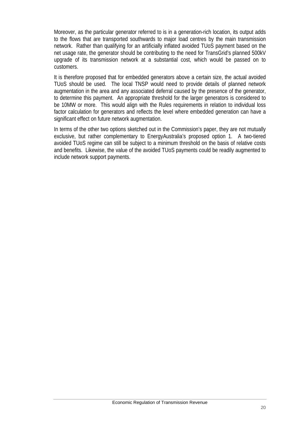Moreover, as the particular generator referred to is in a generation-rich location, its output adds to the flows that are transported southwards to major load centres by the main transmission network. Rather than qualifying for an artificially inflated avoided TUoS payment based on the net usage rate, the generator should be contributing to the need for TransGrid's planned 500kV upgrade of its transmission network at a substantial cost, which would be passed on to customers.

It is therefore proposed that for embedded generators above a certain size, the actual avoided TUoS should be used. The local TNSP would need to provide details of planned network augmentation in the area and any associated deferral caused by the presence of the generator, to determine this payment. An appropriate threshold for the larger generators is considered to be 10MW or more. This would align with the Rules requirements in relation to individual loss factor calculation for generators and reflects the level where embedded generation can have a significant effect on future network augmentation.

In terms of the other two options sketched out in the Commission's paper, they are not mutually exclusive, but rather complementary to EnergyAustralia's proposed option 1. A two-tiered avoided TUoS regime can still be subject to a minimum threshold on the basis of relative costs and benefits. Likewise, the value of the avoided TUoS payments could be readily augmented to include network support payments.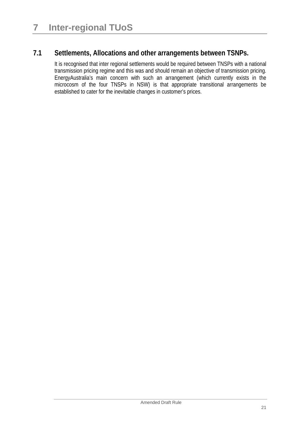## **7.1 Settlements, Allocations and other arrangements between TSNPs.**

It is recognised that inter regional settlements would be required between TNSPs with a national transmission pricing regime and this was and should remain an objective of transmission pricing. EnergyAustralia's main concern with such an arrangement (which currently exists in the microcosm of the four TNSPs in NSW) is that appropriate transitional arrangements be established to cater for the inevitable changes in customer's prices.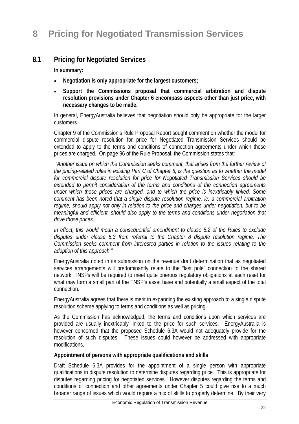## **8.1 Pricing for Negotiated Services**

**In summary:** 

- **Negotiation is only appropriate for the largest customers;**
- **Support the Commissions proposal that commercial arbitration and dispute resolution provisions under Chapter 6 encompass aspects other than just price, with necessary changes to be made.**

In general, EnergyAustralia believes that negotiation should only be appropriate for the larger customers.

Chapter 9 of the Commission's Rule Proposal Report sought comment on whether the model for commercial dispute resolution for price for Negotiated Transmission Services should be extended to apply to the terms and conditions of connection agreements under which those prices are charged. On page 96 of the Rule Proposal, the Commission states that:

*"Another issue on which the Commission seeks comment, that arises from the further review of the pricing-related rules in existing Part C of Chapter 6, is the question as to whether the model for commercial dispute resolution for price for Negotiated Transmission Services should be extended to permit consideration of the terms and conditions of the connection agreements under which those prices are charged, and to which the price is inextricably linked. Some comment has been noted that a single dispute resolution regime, ie. a commercial arbitration regime, should apply not only in relation to the price and charges under negotiation, but to be meaningful and efficient, should also apply to the terms and conditions under negotiation that drive those prices.* 

*In effect, this would mean a consequential amendment to clause 8.2 of the Rules to exclude disputes under clause 5.3 from referral to the Chapter 8 dispute resolution regime. The Commission seeks comment from interested parties in relation to the issues relating to the adoption of this approach."* 

EnergyAustralia noted in its submission on the revenue draft determination that as negotiated services arrangements will predominantly relate to the "last pole" connection to the shared network, TNSPs will be required to meet quite onerous regulatory obligations at each reset for what may form a small part of the TNSP's asset base and potentially a small aspect of the total connection.

EnergyAustralia agrees that there is merit in expanding the existing approach to a single dispute resolution scheme applying to terms and conditions as well as pricing.

As the Commission has acknowledged, the terms and conditions upon which services are provided are usually inextricably linked to the price for such services. EnergyAustralia is however concerned that the proposed Schedule 6.3A would not adequately provide for the resolution of such disputes. These issues could however be addressed with appropriate modifications.

#### **Appointment of persons with appropriate qualifications and skills**

Draft Schedule 6.3A provides for the appointment of a single person with appropriate qualifications in dispute resolution to determine disputes regarding price. This is appropriate for disputes regarding pricing for negotiated services. However disputes regarding the terms and conditions of connection and other agreements under Chapter 5 could give rise to a much broader range of issues which would require a mix of skills to properly determine. By their very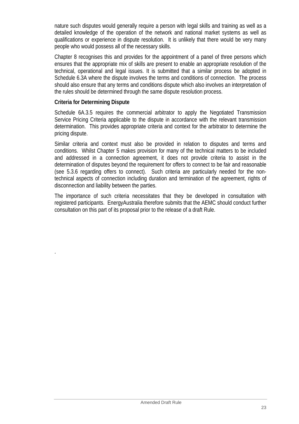nature such disputes would generally require a person with legal skills and training as well as a detailed knowledge of the operation of the network and national market systems as well as qualifications or experience in dispute resolution. It is unlikely that there would be very many people who would possess all of the necessary skills.

Chapter 8 recognises this and provides for the appointment of a panel of three persons which ensures that the appropriate mix of skills are present to enable an appropriate resolution of the technical, operational and legal issues. It is submitted that a similar process be adopted in Schedule 6.3A where the dispute involves the terms and conditions of connection. The process should also ensure that any terms and conditions dispute which also involves an interpretation of the rules should be determined through the same dispute resolution process.

#### **Criteria for Determining Dispute**

.

Schedule 6A.3.5 requires the commercial arbitrator to apply the Negotiated Transmission Service Pricing Criteria applicable to the dispute in accordance with the relevant transmission determination. This provides appropriate criteria and context for the arbitrator to determine the pricing dispute.

Similar criteria and context must also be provided in relation to disputes and terms and conditions. Whilst Chapter 5 makes provision for many of the technical matters to be included and addressed in a connection agreement, it does not provide criteria to assist in the determination of disputes beyond the requirement for offers to connect to be fair and reasonable (see 5.3.6 regarding offers to connect). Such criteria are particularly needed for the nontechnical aspects of connection including duration and termination of the agreement, rights of disconnection and liability between the parties.

The importance of such criteria necessitates that they be developed in consultation with registered participants. EnergyAustralia therefore submits that the AEMC should conduct further consultation on this part of its proposal prior to the release of a draft Rule.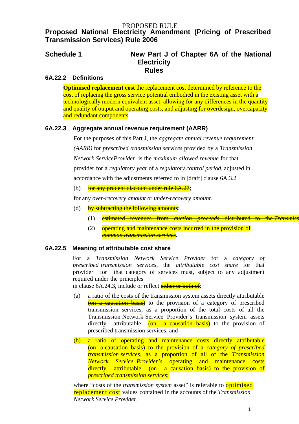#### PROPOSED RULE

## **Proposed National Electricity Amendment (Pricing of Prescribed Transmission Services) Rule 2006**

## **Schedule 1 New Part J of Chapter 6A of the National Electricity Rules**

#### **6A.22.2 Definitions**

**Optimised replacement cost** the replacement cost determined by reference to the cost of replacing the gross service potential embodied in the existing asset with a technologically modern equivalent asset, allowing for any differences in the quantity and quality of output and operating costs, and adjusting for overdesign, overcapacity and redundant components

#### **6A.22.3 Aggregate annual revenue requirement (AARR)**

For the purposes of this Part J, the *aggregate annual revenue requirement (AARR)* for *prescribed transmission services* provided by a *Transmission Network ServiceProvider,* is the *maximum allowed revenue* for that provider for a *regulatory year* of a *regulatory control period*, adjusted in accordance with the adjustments referred to in [draft] clause 6A.3.2

(b)  $\frac{1}{2}$  for any prudent discount under rule 6A.27;

for any *over-recovery amount* or *under-recovery amount.*

- (d) by subtracting the following amounts:
	- (1) estimated revenues from *auction proceeds* distributed to the *Transmiss*
	- (2) operating and maintenance costs incurred in the provision of *common transmission services*.

#### **6A.22.5 Meaning of attributable cost share**

For a *Transmission Network Service Provider* for a *category of prescribed transmission services*, the *attributable cost share* for that provider for that category of services must, subject to any adjustment required under the principles

in clause 6A.24.3, include or reflect either or both of:

- (a) a ratio of the costs of the transmission system assets directly attributable (on a causation basis) to the provision of a category of prescribed transmission services, as a proportion of the total costs of all the Transmission Network Service Provider's transmission system assets directly attributable  $\left( \theta n - a \right)$  causation basis) to the provision of prescribed transmission services; and
- (b) a ratio of operating and maintenance costs directly attributable (on a causation basis) to the provision of a *category of prescribed transmission services*, as a proportion of all of the *Transmission Network Service Provider's* operating and maintenance costs directly attributable (on a causation basis) to the provision of *prescribed transmission services*;

where "costs of the *transmission system* asset" is referable to **optimised** replacement cost values contained in the accounts of the *Transmission Network Service Provider*.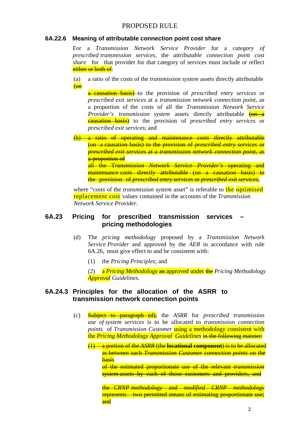#### PROPOSED RULE

#### **6A.22.6 Meaning of attributable connection point cost share**

For a *Transmission Network Service Provider* for a *category of prescribed transmission services*, the *attributable connection point cost share* for that provider for that category of services must include or reflect either or both of:

(a) a ratio of the costs of the *transmission system* assets directly attributable (on

a causation basis) to the provision of *prescribed entry services* or *prescribed exit services* at a *transmission network connection point*, as a proportion of the costs of all the *Transmission Network Service Provider's transmission system assets directly attributable*  $\frac{6n}{6n}$ causation basis) to the provision of *prescribed entry services* or *prescribed exit services*; and

(b) a ratio of operating and maintenance costs directly attributable (on a causation basis) to the provision of *prescribed entry services* or *prescribed exit services* at a *transmission network connection point*, as a proportion of all the T*ransmission Network Service Provider's* operating and maintenance costs directly attributable (on a causation basis) to

the provision of *prescribed entry services* or *prescribed exit services*,

where "costs of the *transmission system* asset" is referable to the **optimised** replacement cost values contained in the accounts of the *Transmission Network Service Provider*.

#### **6A.23 Pricing for prescribed transmission services – pricing methodologies**

- (d) The *pricing methodology* proposed by a *Transmission Network Service Provider* and approved by the *AER* in accordance with rule 6A.26, must give effect to and be consistent with:
	- (1) the *Pricing Principles*; and

(2) a *Pricing Methodology* an approved under the *Pricing Methodology Approval Guidelines*.

#### **6A.24.3 Principles for the allocation of the ASRR to transmission network connection points**

- (c) Subject to paragraph (d), the *ASRR* for *prescribed transmission use of system services* is to be allocated to *transmission connection points* of *Transmission Customer* using a methodology consistent with the *Pricing Methodology Approval Guidelines* in the following manner:
	- (1) a portion of the *ASRR* (the **locational component**) is to be allocated as between such *Transmission Customer connection points* on the basis

of the estimated proportionate use of the relevant *transmission system* assets by each of those customers and providers, and

the *CRNP methodology* and *modified CRNP methodology*  represents two permitted means of estimating proportionate use; and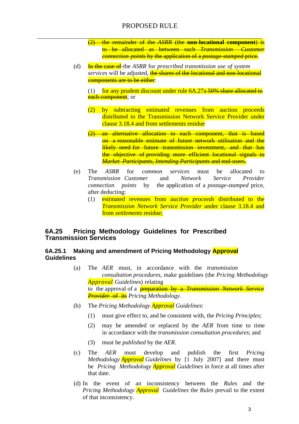- (2) the remainder of the *ASRR* (the **non-locational component**) is to be allocated as between such *Transmission Customer connection points* by the application of a *postage-stamped* price.
- (d) In the case of the *ASRR* for *prescribed transmission use of system services* will be adjusted, the shares of the locational and non-locational components are to be either:
	- (1) for any prudent discount under rule  $6A.27a-50\%$  share allocated to each component; or
	- (2) by subtracting estimated revenues from auction proceeds distributed to the Transmission Network Service Provider under clause 3.18.4 and from settlements residue
	- (2) an alternative allocation to each component, that is based on a reasonable estimate of future network utilisation and the likely need for future transmission investment, and that has the objective of providing more efficient locational signals to *Market Participants*, *Intending Participants* and end-users.
- (e) The *ASRR* for *common services* must be allocated to *Transmission Customer* and *Network Service Provider connection points* by the application of a *postage-stamped* price, after deducting:
	- (1) estimated revenues from *auction proceeds* distributed to the *Transmission Network Service Provider* under clause 3.18.4 and from *settlements* residue;

#### **6A.25 Pricing Methodology Guidelines for Prescribed Transmission Services**

#### **6A.25.1 Making and amendment of Pricing Methodology Approval Guidelines**

- (a) The *AER* must, in accordance with the *transmission consultation procedures*, make guidelines (the *Pricing Methodology Approval Guideline*s) relating to the approval of a preparation by a *Transmission Network Service Provider* of its *Pricing Methodology*.
- (b) The *Pricing Methodology Approval Guidelines*:
	- (1) must give effect to, and be consistent with, the *Pricing Principles*;
	- (2) may be amended or replaced by the *AER* from time to time in accordance with the *transmission consultation procedures*; and
	- (3) must be *published* by the *AER*.
- (c) The *AER* must develop and publish the first *Pricing Methodology Approval Guidelines* by [1 July 2007] and there must be *Pricing Methodology Approval Guidelines* in force at all times after that date.
- (d) In the event of an inconsistency between the *Rules* and the *Pricing Methodology Approval Guidelines* the *Rules* prevail to the extent of that inconsistency.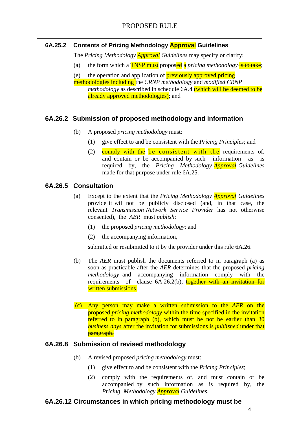### **6A.25.2 Contents of Pricing Methodology Approval Guidelines**

The *Pricing Methodology Approval Guidelines* may specify or clarify:

(a) the form which a **TNSP must** proposed a *pricing methodology* is to take;

(e) the operation and application of **previously approved pricing** methodologies including the *CRNP methodology* and *modified CRNP methodology* as described in schedule 6A.4 (which will be deemed to be already approved methodologies); and

## **6A.26.2 Submission of proposed methodology and information**

- (b) A proposed *pricing methodology* must:
	- (1) give effect to and be consistent with the *Pricing Principles*; and
	- (2)  $\frac{1}{2}$  comply with the be consistent with the requirements of, and contain or be accompanied by such information as is required by, the *Pricing Methodology Approval Guidelines*  made for that purpose under rule 6A.25.

## **6A.26.5 Consultation**

- (a) Except to the extent that the *Pricing Methodology Approval Guidelines*  provide it will not be publicly disclosed (and, in that case, the relevant *Transmission Network Service Provider* has not otherwise consented), the *AER* must *publish*:
	- (1) the proposed *pricing methodology*; and
	- (2) the accompanying information,

submitted or resubmitted to it by the provider under this rule 6A.26.

- (b) The *AER* must publish the documents referred to in paragraph (a) as soon as practicable after the *AER* determines that the proposed *pricing methodology* and accompanying information comply with the requirements of clause  $6A.26.2(b)$ ,  $together with an invitation for$ written submissions.
- (c) Any person may make a written submission to the *AER* on the proposed *pricing methodology* within the time specified in the invitation referred to in paragraph (b), which must be not be earlier than 30 *business days* after the invitation for submissions is *published* under that **paragraph.**

#### **6A.26.8 Submission of revised methodology**

- (b) A revised proposed *pricing methodology* must:
	- (1) give effect to and be consistent with the *Pricing Principles*;
	- (2) comply with the requirements of, and must contain or be accompanied by such information as is required by, the *Pricing Methodology Approval Guidelines*.

#### **6A.26.12 Circumstances in which pricing methodology must be**